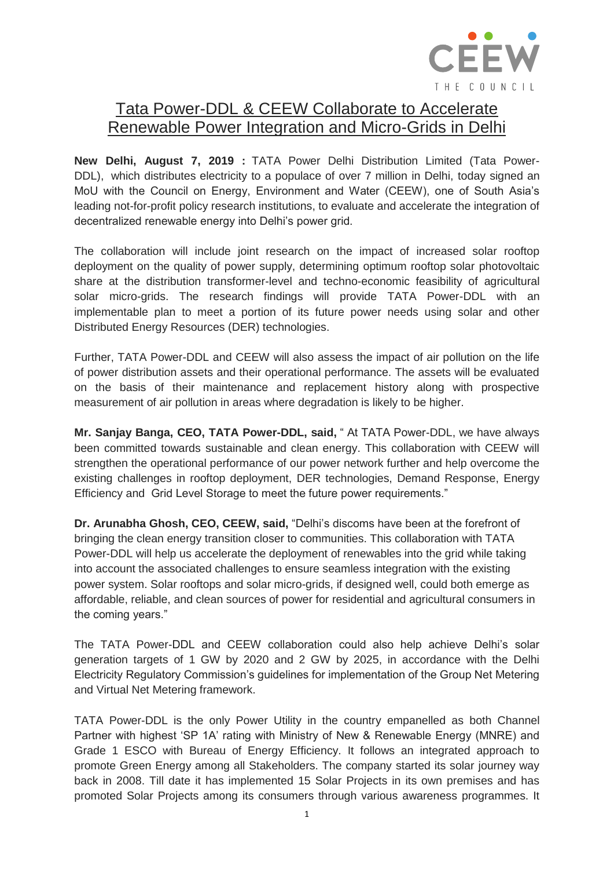

## Tata Power-DDL & CEEW Collaborate to Accelerate Renewable Power Integration and Micro-Grids in Delhi

**New Delhi, August 7, 2019 :** TATA Power Delhi Distribution Limited (Tata Power-DDL), which distributes electricity to a populace of over 7 million in Delhi, today signed an MoU with the Council on Energy, Environment and Water (CEEW), one of South Asia's leading not-for-profit policy research institutions, to evaluate and accelerate the integration of decentralized renewable energy into Delhi's power grid.

The collaboration will include joint research on the impact of increased solar rooftop deployment on the quality of power supply, determining optimum rooftop solar photovoltaic share at the distribution transformer-level and techno-economic feasibility of agricultural solar micro-grids. The research findings will provide TATA Power-DDL with an implementable plan to meet a portion of its future power needs using solar and other Distributed Energy Resources (DER) technologies.

Further, TATA Power-DDL and CEEW will also assess the impact of air pollution on the life of power distribution assets and their operational performance. The assets will be evaluated on the basis of their maintenance and replacement history along with prospective measurement of air pollution in areas where degradation is likely to be higher.

**Mr. Sanjay Banga, CEO, TATA Power-DDL, said,** " At TATA Power-DDL, we have always been committed towards sustainable and clean energy. This collaboration with CEEW will strengthen the operational performance of our power network further and help overcome the existing challenges in rooftop deployment, DER technologies, Demand Response, Energy Efficiency and Grid Level Storage to meet the future power requirements."

**Dr. Arunabha Ghosh, CEO, CEEW, said,** "Delhi's discoms have been at the forefront of bringing the clean energy transition closer to communities. This collaboration with TATA Power-DDL will help us accelerate the deployment of renewables into the grid while taking into account the associated challenges to ensure seamless integration with the existing power system. Solar rooftops and solar micro-grids, if designed well, could both emerge as affordable, reliable, and clean sources of power for residential and agricultural consumers in the coming years."

The TATA Power-DDL and CEEW collaboration could also help achieve Delhi's solar generation targets of 1 GW by 2020 and 2 GW by 2025, in accordance with the Delhi Electricity Regulatory Commission's guidelines for implementation of the Group Net Metering and Virtual Net Metering framework.

TATA Power-DDL is the only Power Utility in the country empanelled as both Channel Partner with highest 'SP 1A' rating with Ministry of New & Renewable Energy (MNRE) and Grade 1 ESCO with Bureau of Energy Efficiency. It follows an integrated approach to promote Green Energy among all Stakeholders. The company started its solar journey way back in 2008. Till date it has implemented 15 Solar Projects in its own premises and has promoted Solar Projects among its consumers through various awareness programmes. It